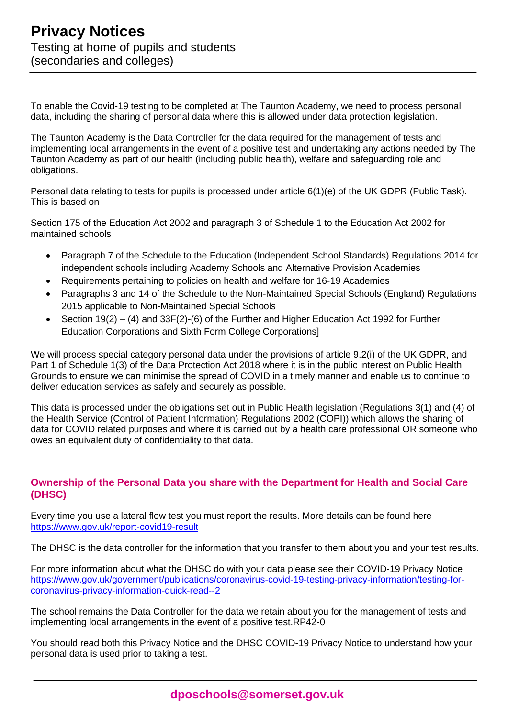To enable the Covid-19 testing to be completed at The Taunton Academy, we need to process personal data, including the sharing of personal data where this is allowed under data protection legislation.

The Taunton Academy is the Data Controller for the data required for the management of tests and implementing local arrangements in the event of a positive test and undertaking any actions needed by The Taunton Academy as part of our health (including public health), welfare and safeguarding role and obligations.

Personal data relating to tests for pupils is processed under article 6(1)(e) of the UK GDPR (Public Task). This is based on

Section 175 of the Education Act 2002 and paragraph 3 of Schedule 1 to the Education Act 2002 for maintained schools

- Paragraph 7 of the Schedule to the Education (Independent School Standards) Regulations 2014 for independent schools including Academy Schools and Alternative Provision Academies
- Requirements pertaining to policies on health and welfare for 16-19 Academies
- Paragraphs 3 and 14 of the Schedule to the Non-Maintained Special Schools (England) Regulations 2015 applicable to Non-Maintained Special Schools
- Section  $19(2) (4)$  and  $33F(2)$ -(6) of the Further and Higher Education Act 1992 for Further Education Corporations and Sixth Form College Corporations]

We will process special category personal data under the provisions of article 9.2(i) of the UK GDPR, and Part 1 of Schedule 1(3) of the Data Protection Act 2018 where it is in the public interest on Public Health Grounds to ensure we can minimise the spread of COVID in a timely manner and enable us to continue to deliver education services as safely and securely as possible.

This data is processed under the obligations set out in Public Health legislation (Regulations 3(1) and (4) of the Health Service (Control of Patient Information) Regulations 2002 (COPI)) which allows the sharing of data for COVID related purposes and where it is carried out by a health care professional OR someone who owes an equivalent duty of confidentiality to that data.

## **Ownership of the Personal Data you share with the Department for Health and Social Care (DHSC)**

Every time you use a lateral flow test you must report the results. More details can be found here <https://www.gov.uk/report-covid19-result>

The DHSC is the data controller for the information that you transfer to them about you and your test results.

For more information about what the DHSC do with your data please see their COVID-19 Privacy Notice [https://www.gov.uk/government/publications/coronavirus-covid-19-testing-privacy-information/testing-for](https://www.gov.uk/government/publications/coronavirus-covid-19-testing-privacy-information/testing-for-coronavirus-privacy-information-quick-read--2)[coronavirus-privacy-information-quick-read--2](https://www.gov.uk/government/publications/coronavirus-covid-19-testing-privacy-information/testing-for-coronavirus-privacy-information-quick-read--2)

The school remains the Data Controller for the data we retain about you for the management of tests and implementing local arrangements in the event of a positive test.RP42-0

You should read both this Privacy Notice and the DHSC COVID-19 Privacy Notice to understand how your personal data is used prior to taking a test.

**dposchools@somerset.gov.uk**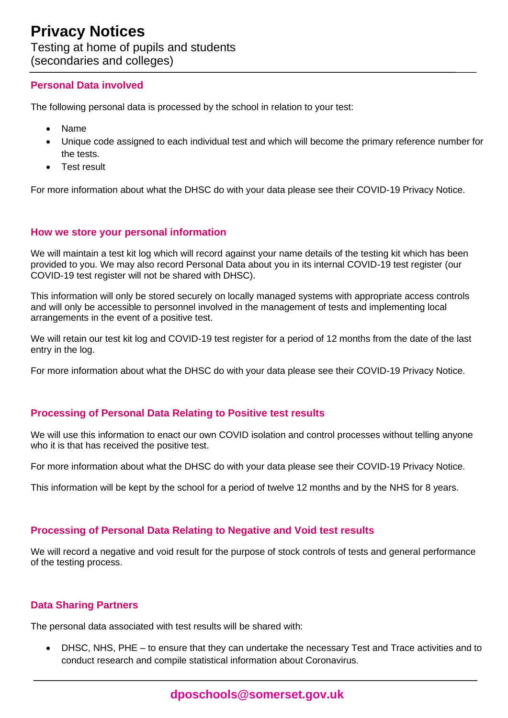## **Personal Data involved**

The following personal data is processed by the school in relation to your test:

- Name
- Unique code assigned to each individual test and which will become the primary reference number for the tests.
- Test result

For more information about what the DHSC do with your data please see their COVID-19 Privacy Notice.

#### **How we store your personal information**

We will maintain a test kit log which will record against your name details of the testing kit which has been provided to you. We may also record Personal Data about you in its internal COVID-19 test register (our COVID-19 test register will not be shared with DHSC).

This information will only be stored securely on locally managed systems with appropriate access controls and will only be accessible to personnel involved in the management of tests and implementing local arrangements in the event of a positive test.

We will retain our test kit log and COVID-19 test register for a period of 12 months from the date of the last entry in the log.

For more information about what the DHSC do with your data please see their COVID-19 Privacy Notice.

## **Processing of Personal Data Relating to Positive test results**

We will use this information to enact our own COVID isolation and control processes without telling anyone who it is that has received the positive test.

For more information about what the DHSC do with your data please see their COVID-19 Privacy Notice.

This information will be kept by the school for a period of twelve 12 months and by the NHS for 8 years.

## **Processing of Personal Data Relating to Negative and Void test results**

We will record a negative and void result for the purpose of stock controls of tests and general performance of the testing process.

## **Data Sharing Partners**

The personal data associated with test results will be shared with:

• DHSC, NHS, PHE – to ensure that they can undertake the necessary Test and Trace activities and to conduct research and compile statistical information about Coronavirus.

**dposchools@somerset.gov.uk**